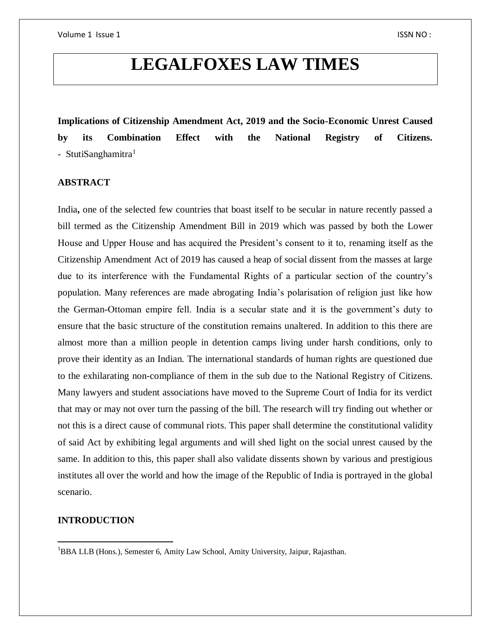# **LEGALFOXES LAW TIMES**

**Implications of Citizenship Amendment Act, 2019 and the Socio-Economic Unrest Caused by its Combination Effect with the National Registry of Citizens.** - StutiSanghamitra $<sup>1</sup>$ </sup>

# **ABSTRACT**

India, one of the selected few countries that boast itself to be secular in nature recently passed a bill termed as the Citizenship Amendment Bill in 2019 which was passed by both the Lower House and Upper House and has acquired the President's consent to it to, renaming itself as the Citizenship Amendment Act of 2019 has caused a heap of social dissent from the masses at large due to its interference with the Fundamental Rights of a particular section of the country's population. Many references are made abrogating India's polarisation of religion just like how the German-Ottoman empire fell. India is a secular state and it is the government's duty to ensure that the basic structure of the constitution remains unaltered. In addition to this there are almost more than a million people in detention camps living under harsh conditions, only to prove their identity as an Indian. The international standards of human rights are questioned due to the exhilarating non-compliance of them in the sub due to the National Registry of Citizens. Many lawyers and student associations have moved to the Supreme Court of India for its verdict that may or may not over turn the passing of the bill. The research will try finding out whether or not this is a direct cause of communal riots. This paper shall determine the constitutional validity of said Act by exhibiting legal arguments and will shed light on the social unrest caused by the same. In addition to this, this paper shall also validate dissents shown by various and prestigious institutes all over the world and how the image of the Republic of India is portrayed in the global scenario.

# **INTRODUCTION**

 $\overline{a}$ 

<sup>&</sup>lt;sup>1</sup>BBA LLB (Hons.), Semester 6, Amity Law School, Amity University, Jaipur, Rajasthan.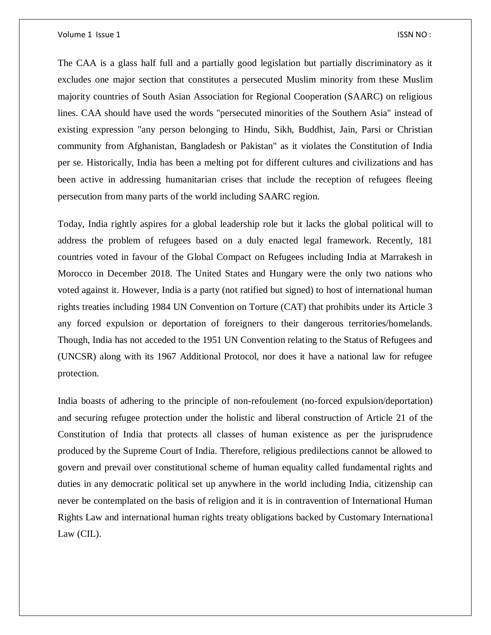The CAA is a glass half full and a partially good legislation but partially discriminatory as it excludes one major section that constitutes a persecuted Muslim minority from these Muslim majority countries of South Asian Association for Regional Cooperation (SAARC) on religious lines. CAA should have used the words "persecuted minorities of the Southern Asia" instead of existing expression "any person belonging to Hindu, Sikh, Buddhist, Jain, Parsi or Christian community from Afghanistan, Bangladesh or Pakistan" as it violates the Constitution of India per se. Historically, India has been a melting pot for different cultures and civilizations and has been active in addressing humanitarian crises that include the reception of refugees fleeing persecution from many parts of the world including SAARC region.

Today, India rightly aspires for a global leadership role but it lacks the global political will to address the problem of refugees based on a duly enacted legal framework. Recently, 181 countries voted in favour of the Global Compact on Refugees including India at Marrakesh in Morocco in December 2018. The United States and Hungary were the only two nations who voted against it. However, India is a party (not ratified but signed) to host of international human rights treaties including 1984 UN Convention on Torture (CAT) that prohibits under its Article 3 any forced expulsion or deportation of foreigners to their dangerous territories/homelands. Though, India has not acceded to the 1951 UN Convention relating to the Status of Refugees and (UNCSR) along with its 1967 Additional Protocol, nor does it have a national law for refugee protection.

India boasts of adhering to the principle of non-refoulement (no-forced expulsion/deportation) and securing refugee protection under the holistic and liberal construction of Article 21 of the Constitution of India that protects all classes of human existence as per the jurisprudence produced by the Supreme Court of India. Therefore, religious predilections cannot be allowed to govern and prevail over constitutional scheme of human equality called fundamental rights and duties in any democratic political set up anywhere in the world including India, citizenship can never be contemplated on the basis of religion and it is in contravention of International Human Rights Law and international human rights treaty obligations backed by Customary International Law (CIL).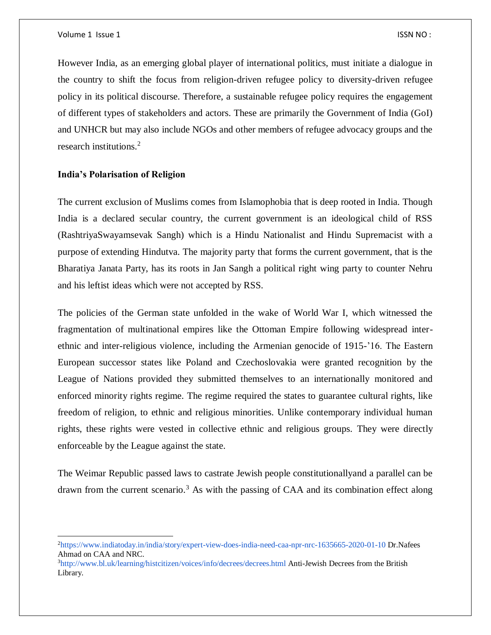$\overline{a}$ 

However India, as an emerging global player of international politics, must initiate a dialogue in the country to shift the focus from religion-driven refugee policy to diversity-driven refugee policy in its political discourse. Therefore, a sustainable refugee policy requires the engagement of different types of stakeholders and actors. These are primarily the Government of India (GoI) and UNHCR but may also include NGOs and other members of refugee advocacy groups and the research institutions.<sup>2</sup>

# **India's Polarisation of Religion**

The current exclusion of Muslims comes from Islamophobia that is deep rooted in India. Though India is a declared secular country, the current government is an ideological child of RSS (RashtriyaSwayamsevak Sangh) which is a Hindu Nationalist and Hindu Supremacist with a purpose of extending Hindutva. The majority party that forms the current government, that is the Bharatiya Janata Party, has its roots in Jan Sangh a political right wing party to counter Nehru and his leftist ideas which were not accepted by RSS.

The policies of the German state unfolded in the wake of World War I, which witnessed the fragmentation of multinational empires like the Ottoman Empire following widespread interethnic and inter-religious violence, including the Armenian genocide of 1915-'16. The Eastern European successor states like Poland and Czechoslovakia were granted recognition by the League of Nations provided they submitted themselves to an internationally monitored and enforced minority rights regime. The regime required the states to guarantee cultural rights, like freedom of religion, to ethnic and religious minorities. Unlike contemporary individual human rights, these rights were vested in collective ethnic and religious groups. They were directly enforceable by the League against the state.

The Weimar Republic passed laws to castrate Jewish people constitutionallyand a parallel can be drawn from the current scenario.<sup>3</sup> As with the passing of CAA and its combination effect along

<sup>2</sup>https://www.indiatoday.in/india/story/expert-view-does-india-need-caa-npr-nrc-1635665-2020-01-10 Dr.Nafees Ahmad on CAA and NRC.

<sup>3</sup>http://www.bl.uk/learning/histcitizen/voices/info/decrees/decrees.html Anti-Jewish Decrees from the British Library.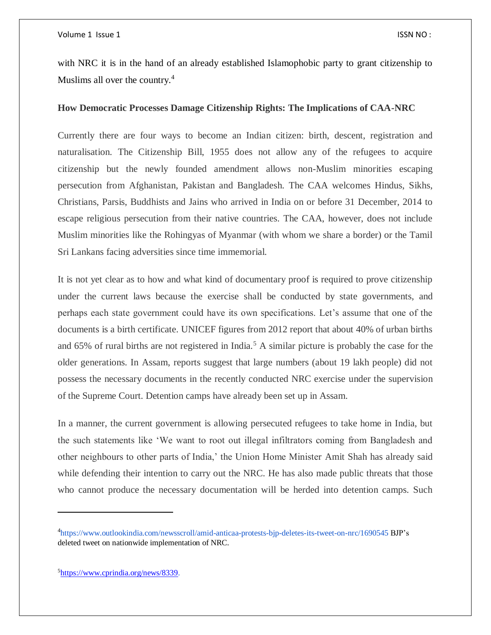with NRC it is in the hand of an already established Islamophobic party to grant citizenship to Muslims all over the country.<sup>4</sup>

# **How Democratic Processes Damage Citizenship Rights: The Implications of CAA-NRC**

Currently there are four ways to become an Indian citizen: birth, descent, registration and naturalisation. The Citizenship Bill, 1955 does not allow any of the refugees to acquire citizenship but the newly founded amendment allows non-Muslim minorities escaping persecution from Afghanistan, Pakistan and Bangladesh. The CAA welcomes Hindus, Sikhs, Christians, Parsis, Buddhists and Jains who arrived in India on or before 31 December, 2014 to escape religious persecution from their native countries. The CAA, however, does not include Muslim minorities like the Rohingyas of Myanmar (with whom we share a border) or the Tamil Sri Lankans facing adversities since time immemorial.

It is not yet clear as to how and what kind of documentary proof is required to prove citizenship under the current laws because the exercise shall be conducted by state governments, and perhaps each state government could have its own specifications. Let's assume that one of the documents is a birth certificate. UNICEF figures from 2012 report that about 40% of urban births and 65% of rural births are not registered in India.<sup>5</sup> A similar picture is probably the case for the older generations. In Assam, reports suggest that large numbers (about 19 lakh people) did not possess the necessary documents in the recently conducted NRC exercise under the supervision of the Supreme Court. Detention camps have already been set up in Assam.

In a manner, the current government is allowing persecuted refugees to take home in India, but the such statements like 'We want to root out illegal infiltrators coming from Bangladesh and other neighbours to other parts of India,' the Union Home Minister Amit Shah has already said while defending their intention to carry out the NRC. He has also made public threats that those who cannot produce the necessary documentation will be herded into detention camps. Such

5[https://www.cprindia.org/news/8339.](https://www.cprindia.org/news/8339)

 $\overline{\phantom{a}}$ 

<sup>4</sup> https://www.outlookindia.com/newsscroll/amid-anticaa-protests-bjp-deletes-its-tweet-on-nrc/1690545 BJP's deleted tweet on nationwide implementation of NRC.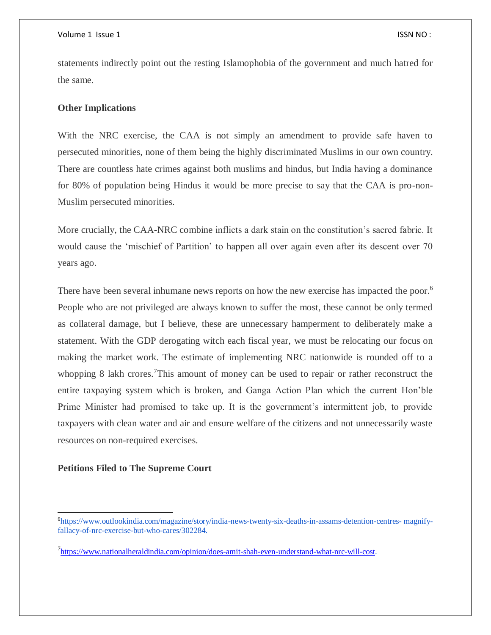#### Volume 1 Issue 1 ISSN NO : ISSN NO : ISSN NO : ISSN NO : ISSN NO :

statements indirectly point out the resting Islamophobia of the government and much hatred for the same.

# **Other Implications**

With the NRC exercise, the CAA is not simply an amendment to provide safe haven to persecuted minorities, none of them being the highly discriminated Muslims in our own country. There are countless hate crimes against both muslims and hindus, but India having a dominance for 80% of population being Hindus it would be more precise to say that the CAA is pro-non-Muslim persecuted minorities.

More crucially, the CAA-NRC combine inflicts a dark stain on the constitution's sacred fabric. It would cause the 'mischief of Partition' to happen all over again even after its descent over 70 years ago.

There have been several inhumane news reports on how the new exercise has impacted the poor.<sup>6</sup> People who are not privileged are always known to suffer the most, these cannot be only termed as collateral damage, but I believe, these are unnecessary hamperment to deliberately make a statement. With the GDP derogating witch each fiscal year, we must be relocating our focus on making the market work. The estimate of implementing NRC nationwide is rounded off to a whopping 8 lakh crores.<sup>7</sup>This amount of money can be used to repair or rather reconstruct the entire taxpaying system which is broken, and Ganga Action Plan which the current Hon'ble Prime Minister had promised to take up. It is the government's intermittent job, to provide taxpayers with clean water and air and ensure welfare of the citizens and not unnecessarily waste resources on non-required exercises.

## **Petitions Filed to The Supreme Court**

 $\overline{\phantom{a}}$ 

<sup>6</sup>https://www.outlookindia.com/magazine/story/india-news-twenty-six-deaths-in-assams-detention-centres- magnifyfallacy-of-nrc-exercise-but-who-cares/302284.

<sup>&</sup>lt;sup>7</sup>[https://www.nationalheraldindia.com/opinion/does-amit-shah-even-understand-what-nrc-will-cost.](https://www.nationalheraldindia.com/opinion/does-amit-shah-even-understand-what-nrc-will-cost)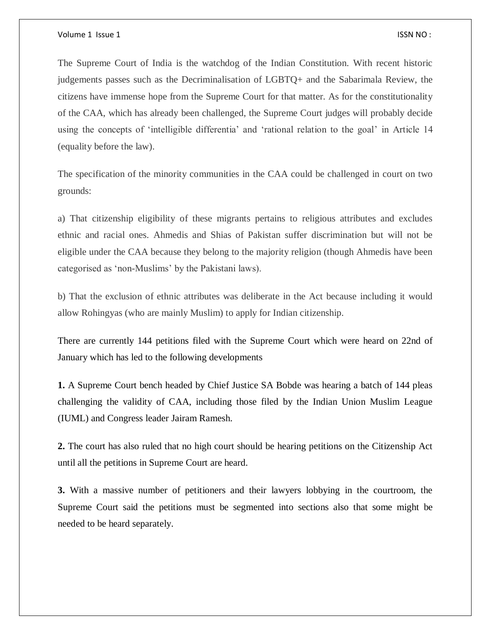The Supreme Court of India is the watchdog of the Indian Constitution. With recent historic judgements passes such as the Decriminalisation of LGBTQ+ and the Sabarimala Review, the citizens have immense hope from the Supreme Court for that matter. As for the constitutionality of the CAA, which has already been challenged, the Supreme Court judges will probably decide using the concepts of 'intelligible differentia' and 'rational relation to the goal' in Article 14 (equality before the law).

The specification of the minority communities in the CAA could be challenged in court on two grounds:

a) That citizenship eligibility of these migrants pertains to religious attributes and excludes ethnic and racial ones. Ahmedis and Shias of Pakistan suffer discrimination but will not be eligible under the CAA because they belong to the majority religion (though Ahmedis have been categorised as 'non-Muslims' by the Pakistani laws).

b) That the exclusion of ethnic attributes was deliberate in the Act because including it would allow Rohingyas (who are mainly Muslim) to apply for Indian citizenship.

There are currently 144 petitions filed with the Supreme Court which were heard on 22nd of January which has led to the following developments

**1.** A Supreme Court bench headed by Chief Justice SA Bobde was hearing a batch of 144 pleas challenging the validity of CAA, including those filed by the Indian Union Muslim League (IUML) and Congress leader Jairam Ramesh.

**2.** The court has also ruled that no high court should be hearing petitions on the Citizenship Act until all the petitions in Supreme Court are heard.

**3.** With a massive number of petitioners and their lawyers lobbying in the courtroom, the Supreme Court said the petitions must be segmented into sections also that some might be needed to be heard separately.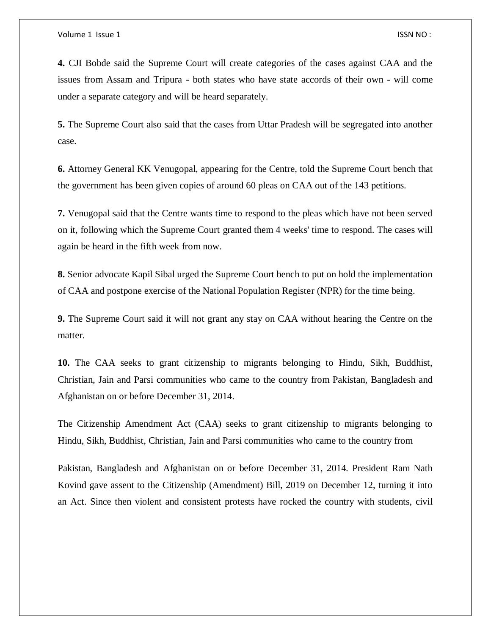**4.** CJI Bobde said the Supreme Court will create categories of the cases against CAA and the issues from Assam and Tripura - both states who have state accords of their own - will come under a separate category and will be heard separately.

**5.** The Supreme Court also said that the cases from Uttar Pradesh will be segregated into another case.

**6.** Attorney General KK Venugopal, appearing for the Centre, told the Supreme Court bench that the government has been given copies of around 60 pleas on CAA out of the 143 petitions.

**7.** Venugopal said that the Centre wants time to respond to the pleas which have not been served on it, following which the Supreme Court granted them 4 weeks' time to respond. The cases will again be heard in the fifth week from now.

**8.** Senior advocate Kapil Sibal urged the Supreme Court bench to put on hold the implementation of CAA and postpone exercise of the National Population Register (NPR) for the time being.

**9.** The Supreme Court said it will not grant any stay on CAA without hearing the Centre on the matter.

**10.** The CAA seeks to grant citizenship to migrants belonging to Hindu, Sikh, Buddhist, Christian, Jain and Parsi communities who came to the country from Pakistan, Bangladesh and Afghanistan on or before December 31, 2014.

The Citizenship Amendment Act (CAA) seeks to grant citizenship to migrants belonging to Hindu, Sikh, Buddhist, Christian, Jain and Parsi communities who came to the country from

Pakistan, Bangladesh and Afghanistan on or before December 31, 2014. President Ram Nath Kovind gave assent to the Citizenship (Amendment) Bill, 2019 on December 12, turning it into an Act. Since then violent and consistent protests have rocked the country with students, civil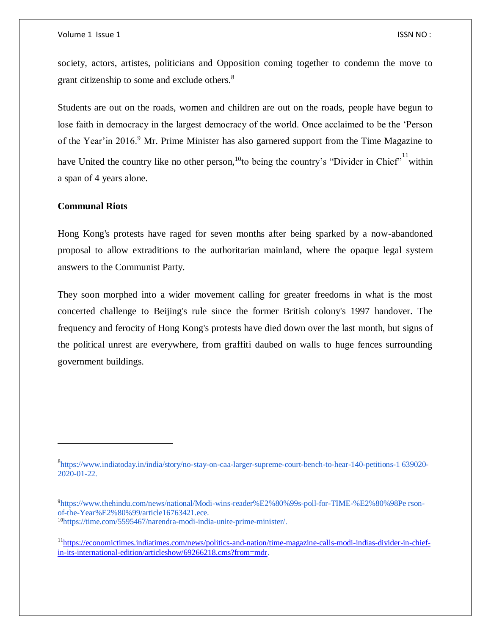society, actors, artistes, politicians and Opposition coming together to condemn the move to grant citizenship to some and exclude others.<sup>8</sup>

Students are out on the roads, women and children are out on the roads, people have begun to lose faith in democracy in the largest democracy of the world. Once acclaimed to be the 'Person of the Year'in 2016.<sup>9</sup> Mr. Prime Minister has also garnered support from the Time Magazine to have United the country like no other person,<sup>10</sup>to being the country's "Divider in Chief" within a span of 4 years alone.

## **Communal Riots**

 $\overline{\phantom{a}}$ 

Hong Kong's protests have raged for seven months after being sparked by a now-abandoned proposal to allow extraditions to the authoritarian mainland, where the opaque legal system answers to the Communist Party.

They soon morphed into a wider movement calling for greater freedoms in what is the most concerted challenge to Beijing's rule since the former British colony's 1997 handover. The frequency and ferocity of Hong Kong's protests have died down over the last month, but signs of the political unrest are everywhere, from graffiti daubed on walls to huge fences surrounding government buildings.

- 9https://www.thehindu.com/news/national/Modi-wins-reader%E2%80%99s-poll-for-TIME-%E2%80%98Pe rsonof-the-Year%E2%80%99/article16763421.ece. <sup>10</sup>https://time.com/5595467/narendra-modi-india-unite-prime-minister/.
- <sup>11</sup>[https://economictimes.indiatimes.com/news/politics-and-nation/time-magazine-calls-modi-indias-divider-in-chief](https://economictimes.indiatimes.com/news/politics-and-nation/time-magazine-calls-modi-indias-divider-in-chief-in-its-international-edition/articleshow/69266218.cms?from=mdr)[in-its-international-edition/articleshow/69266218.cms?from=mdr.](https://economictimes.indiatimes.com/news/politics-and-nation/time-magazine-calls-modi-indias-divider-in-chief-in-its-international-edition/articleshow/69266218.cms?from=mdr)

<sup>8</sup> https://www.indiatoday.in/india/story/no-stay-on-caa-larger-supreme-court-bench-to-hear-140-petitions-1 639020- 2020-01-22.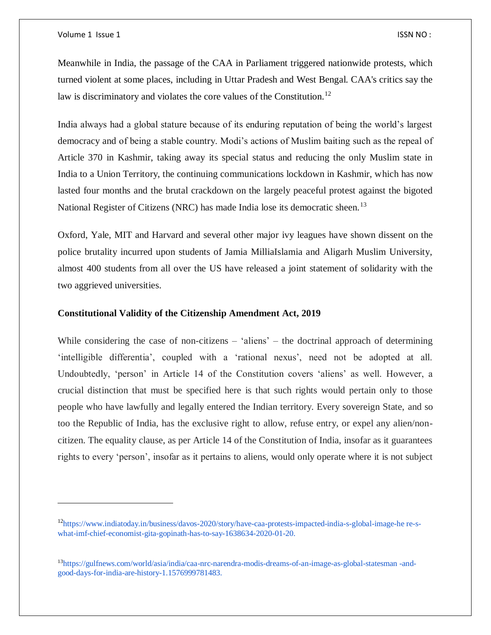$\overline{a}$ 

Meanwhile in India, the passage of the CAA in Parliament triggered nationwide protests, which turned violent at some places, including in Uttar Pradesh and West Bengal. CAA's critics say the law is discriminatory and violates the core values of the Constitution.<sup>12</sup>

India always had a global stature because of its enduring reputation of being the world's largest democracy and of being a stable country. Modi's actions of Muslim baiting such as the repeal of Article 370 in Kashmir, taking away its special status and reducing the only Muslim state in India to a Union Territory, the continuing communications lockdown in Kashmir, which has now lasted four months and the brutal crackdown on the largely peaceful protest against the bigoted National Register of Citizens (NRC) has made India lose its democratic sheen.<sup>13</sup>

Oxford, Yale, MIT and Harvard and several other major ivy leagues have shown dissent on the police brutality incurred upon students of Jamia MilliaIslamia and Aligarh Muslim University, almost 400 students from all over the US have released a joint statement of solidarity with the two aggrieved universities.

## **Constitutional Validity of the Citizenship Amendment Act, 2019**

While considering the case of non-citizens – 'aliens' – the doctrinal approach of determining 'intelligible differentia', coupled with a 'rational nexus', need not be adopted at all. Undoubtedly, 'person' in Article 14 of the Constitution covers 'aliens' as well. However, a crucial distinction that must be specified here is that such rights would pertain only to those people who have lawfully and legally entered the Indian territory. Every sovereign State, and so too the Republic of India, has the exclusive right to allow, refuse entry, or expel any alien/noncitizen. The equality clause, as per Article 14 of the Constitution of India, insofar as it guarantees rights to every 'person', insofar as it pertains to aliens, would only operate where it is not subject

<sup>&</sup>lt;sup>12</sup>https://www.indiatoday.in/business/davos-2020/story/have-caa-protests-impacted-india-s-global-image-he re-swhat-imf-chief-economist-gita-gopinath-has-to-say-1638634-2020-01-20.

<sup>13</sup>https://gulfnews.com/world/asia/india/caa-nrc-narendra-modis-dreams-of-an-image-as-global-statesman -andgood-days-for-india-are-history-1.1576999781483.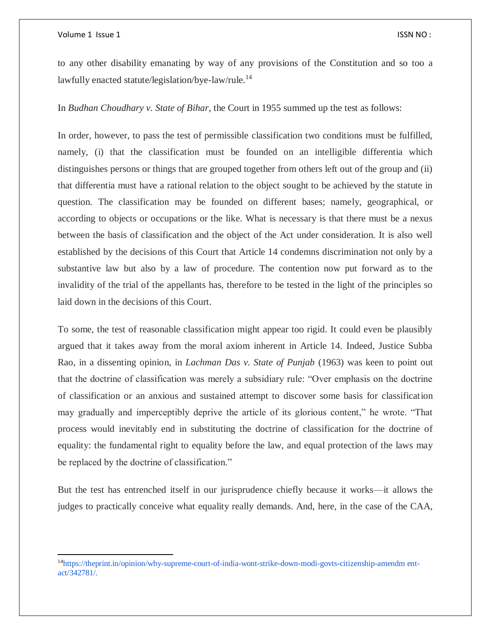$\overline{\phantom{a}}$ 

to any other disability emanating by way of any provisions of the Constitution and so too a lawfully enacted statute/legislation/bye-law/rule.<sup>14</sup>

In *Budhan Choudhary v. State of Bihar*, the Court in 1955 summed up the test as follows:

In order, however, to pass the test of permissible classification two conditions must be fulfilled, namely, (i) that the classification must be founded on an intelligible differentia which distinguishes persons or things that are grouped together from others left out of the group and (ii) that differentia must have a rational relation to the object sought to be achieved by the statute in question. The classification may be founded on different bases; namely, geographical, or according to objects or occupations or the like. What is necessary is that there must be a nexus between the basis of classification and the object of the Act under consideration. It is also well established by the decisions of this Court that Article 14 condemns discrimination not only by a substantive law but also by a law of procedure. The contention now put forward as to the invalidity of the trial of the appellants has, therefore to be tested in the light of the principles so laid down in the decisions of this Court.

To some, the test of reasonable classification might appear too rigid. It could even be plausibly argued that it takes away from the moral axiom inherent in Article 14. Indeed, Justice Subba Rao, in a dissenting opinion, in *Lachman Das v. State of Punjab* (1963) was keen to point out that the doctrine of classification was merely a subsidiary rule: "Over emphasis on the doctrine of classification or an anxious and sustained attempt to discover some basis for classification may gradually and imperceptibly deprive the article of its glorious content," he wrote. "That process would inevitably end in substituting the doctrine of classification for the doctrine of equality: the fundamental right to equality before the law, and equal protection of the laws may be replaced by the doctrine of classification."

But the test has entrenched itself in our jurisprudence chiefly because it works—it allows the judges to practically conceive what equality really demands. And, here, in the case of the CAA,

<sup>14</sup>https://theprint.in/opinion/why-supreme-court-of-india-wont-strike-down-modi-govts-citizenship-amendm entact/342781/.